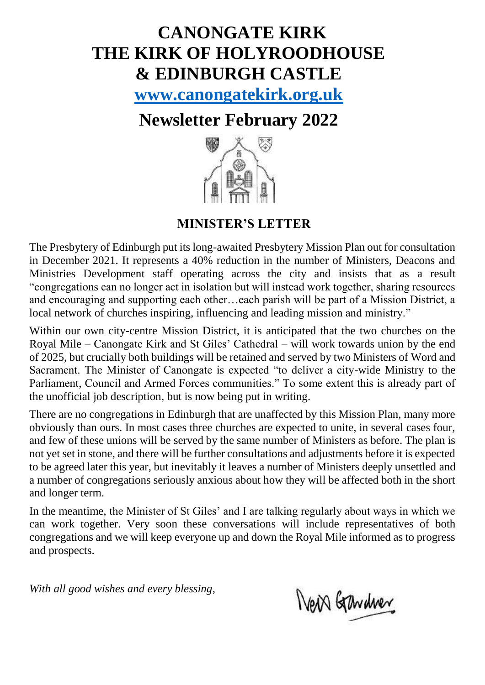# **CANONGATE KIRK THE KIRK OF HOLYROODHOUSE & EDINBURGH CASTLE**

**[www.canongatekirk.org.uk](http://www.canongatekirk.org.uk/)**

## **Newsletter February 2022**



### **MINISTER'S LETTER**

The Presbytery of Edinburgh put its long-awaited Presbytery Mission Plan out for consultation in December 2021. It represents a 40% reduction in the number of Ministers, Deacons and Ministries Development staff operating across the city and insists that as a result "congregations can no longer act in isolation but will instead work together, sharing resources and encouraging and supporting each other…each parish will be part of a Mission District, a local network of churches inspiring, influencing and leading mission and ministry."

Within our own city-centre Mission District, it is anticipated that the two churches on the Royal Mile – Canongate Kirk and St Giles' Cathedral – will work towards union by the end of 2025, but crucially both buildings will be retained and served by two Ministers of Word and Sacrament. The Minister of Canongate is expected "to deliver a city-wide Ministry to the Parliament, Council and Armed Forces communities." To some extent this is already part of the unofficial job description, but is now being put in writing.

There are no congregations in Edinburgh that are unaffected by this Mission Plan, many more obviously than ours. In most cases three churches are expected to unite, in several cases four, and few of these unions will be served by the same number of Ministers as before. The plan is not yet set in stone, and there will be further consultations and adjustments before it is expected to be agreed later this year, but inevitably it leaves a number of Ministers deeply unsettled and a number of congregations seriously anxious about how they will be affected both in the short and longer term.

In the meantime, the Minister of St Giles' and I are talking regularly about ways in which we can work together. Very soon these conversations will include representatives of both congregations and we will keep everyone up and down the Royal Mile informed as to progress and prospects.

*With all good wishes and every blessing*,

New Gardner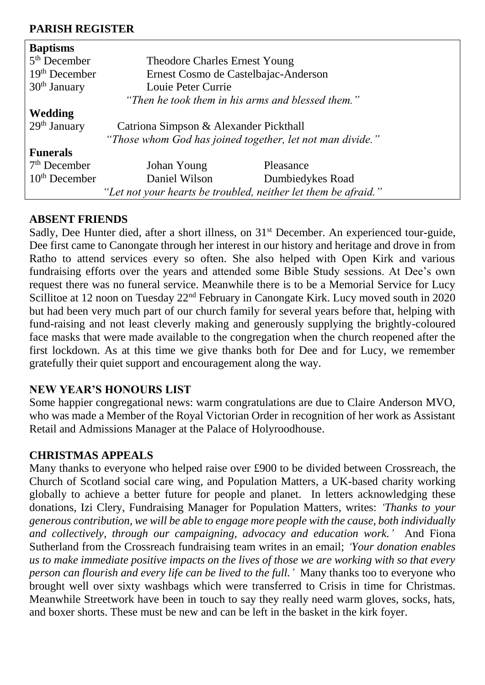#### **PARISH REGISTER**

| <b>Baptisms</b>                                                |                                                           |                  |  |
|----------------------------------------------------------------|-----------------------------------------------------------|------------------|--|
| $5th$ December                                                 | Theodore Charles Ernest Young                             |                  |  |
| $19th$ December                                                | Ernest Cosmo de Castelbajac-Anderson                      |                  |  |
| $30th$ January                                                 | Louie Peter Currie                                        |                  |  |
|                                                                | "Then he took them in his arms and blessed them."         |                  |  |
| Wedding                                                        |                                                           |                  |  |
| $29th$ January                                                 | Catriona Simpson & Alexander Pickthall                    |                  |  |
|                                                                | "Those whom God has joined together, let not man divide." |                  |  |
| <b>Funerals</b>                                                |                                                           |                  |  |
| $7th$ December                                                 | Johan Young                                               | Pleasance        |  |
| $10th$ December                                                | Daniel Wilson                                             | Dumbiedykes Road |  |
| "Let not your hearts be troubled, neither let them be afraid." |                                                           |                  |  |

#### **ABSENT FRIENDS**

Sadly, Dee Hunter died, after a short illness, on 31<sup>st</sup> December. An experienced tour-guide, Dee first came to Canongate through her interest in our history and heritage and drove in from Ratho to attend services every so often. She also helped with Open Kirk and various fundraising efforts over the years and attended some Bible Study sessions. At Dee's own request there was no funeral service. Meanwhile there is to be a Memorial Service for Lucy Scillitoe at 12 noon on Tuesday 22<sup>nd</sup> February in Canongate Kirk. Lucy moved south in 2020 but had been very much part of our church family for several years before that, helping with fund-raising and not least cleverly making and generously supplying the brightly-coloured face masks that were made available to the congregation when the church reopened after the first lockdown. As at this time we give thanks both for Dee and for Lucy, we remember gratefully their quiet support and encouragement along the way.

#### **NEW YEAR'S HONOURS LIST**

Some happier congregational news: warm congratulations are due to Claire Anderson MVO, who was made a Member of the Royal Victorian Order in recognition of her work as Assistant Retail and Admissions Manager at the Palace of Holyroodhouse.

#### **CHRISTMAS APPEALS**

Many thanks to everyone who helped raise over £900 to be divided between Crossreach, the Church of Scotland social care wing, and Population Matters, a UK-based charity working globally to achieve a better future for people and planet. In letters acknowledging these donations, Izi Clery, Fundraising Manager for Population Matters, writes: *'Thanks to your generous contribution, we will be able to engage more people with the cause, both individually and collectively, through our campaigning, advocacy and education work.'* And Fiona Sutherland from the Crossreach fundraising team writes in an email; *'Your donation enables us to make immediate positive impacts on the lives of those we are working with so that every person can flourish and every life can be lived to the full.'* Many thanks too to everyone who brought well over sixty washbags which were transferred to Crisis in time for Christmas. Meanwhile Streetwork have been in touch to say they really need warm gloves, socks, hats, and boxer shorts. These must be new and can be left in the basket in the kirk foyer.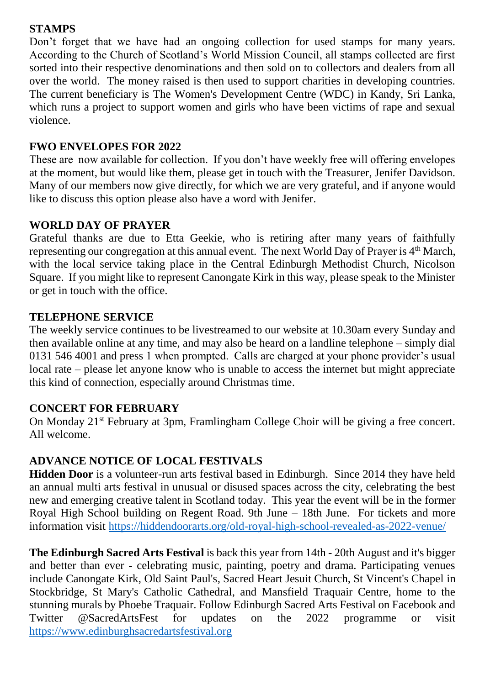#### **STAMPS**

Don't forget that we have had an ongoing collection for used stamps for many years. According to the Church of Scotland's World Mission Council, all stamps collected are first sorted into their respective denominations and then sold on to collectors and dealers from all over the world. The money raised is then used to support charities in developing countries. The current beneficiary is The Women's Development Centre (WDC) in Kandy, Sri Lanka, which runs a project to support women and girls who have been victims of rape and sexual violence.

#### **FWO ENVELOPES FOR 2022**

These are now available for collection. If you don't have weekly free will offering envelopes at the moment, but would like them, please get in touch with the Treasurer, Jenifer Davidson. Many of our members now give directly, for which we are very grateful, and if anyone would like to discuss this option please also have a word with Jenifer.

#### **WORLD DAY OF PRAYER**

Grateful thanks are due to Etta Geekie, who is retiring after many years of faithfully representing our congregation at this annual event. The next World Day of Prayer is 4<sup>th</sup> March, with the local service taking place in the Central Edinburgh Methodist Church, Nicolson Square. If you might like to represent Canongate Kirk in this way, please speak to the Minister or get in touch with the office.

#### **TELEPHONE SERVICE**

The weekly service continues to be livestreamed to our website at 10.30am every Sunday and then available online at any time, and may also be heard on a landline telephone – simply dial 0131 546 4001 and press 1 when prompted. Calls are charged at your phone provider's usual local rate – please let anyone know who is unable to access the internet but might appreciate this kind of connection, especially around Christmas time.

#### **CONCERT FOR FEBRUARY**

On Monday 21st February at 3pm, Framlingham College Choir will be giving a free concert. All welcome.

#### **ADVANCE NOTICE OF LOCAL FESTIVALS**

**Hidden Door** is a volunteer-run arts festival based in Edinburgh. Since 2014 they have held an annual multi arts festival in unusual or disused spaces across the city, celebrating the best new and emerging creative talent in Scotland today. This year the event will be in the former Royal High School building on Regent Road. 9th June – 18th June. For tickets and more information visit<https://hiddendoorarts.org/old-royal-high-school-revealed-as-2022-venue/>

**The Edinburgh Sacred Arts Festival** is back this year from 14th - 20th August and it's bigger and better than ever - celebrating music, painting, poetry and drama. Participating venues include Canongate Kirk, Old Saint Paul's, Sacred Heart Jesuit Church, St Vincent's Chapel in Stockbridge, St Mary's Catholic Cathedral, and Mansfield Traquair Centre, home to the stunning murals by Phoebe Traquair. Follow Edinburgh Sacred Arts Festival on Facebook and Twitter @SacredArtsFest for updates on the 2022 programme or visit [https://www.edinburghsacredartsfestival.org](https://www.edinburghsacredartsfestival.org/)